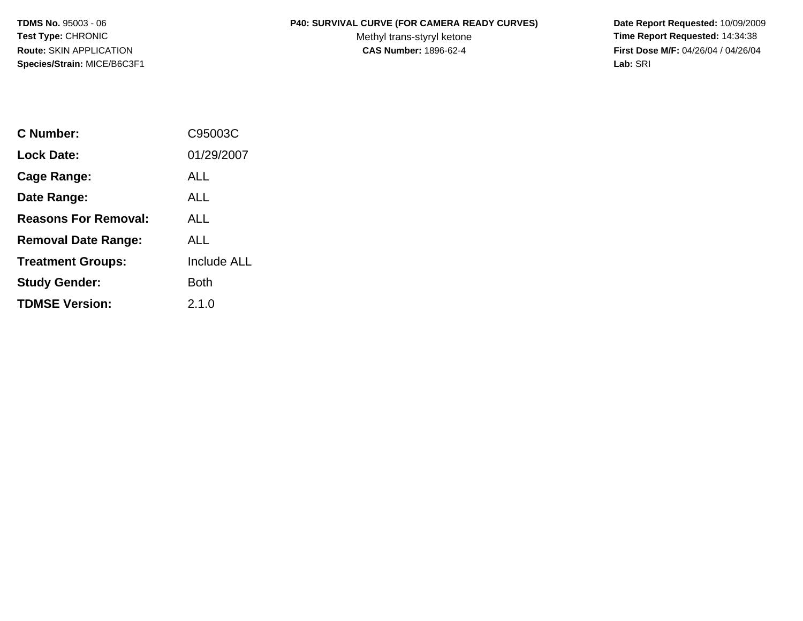**Species/Strain:** MICE/B6C3F1 **Lab:** SRI

## **TDMS No.** 95003 - 06 **P40: SURVIVAL CURVE (FOR CAMERA READY CURVES) Date Report Requested:** 10/09/2009

Test Type: CHRONIC **Test Type: CHRONIC Test Type: CHRONIC Time Report Requested:** 14:34:38 **Route:** SKIN APPLICATION **CAS Number:** 1896-62-4 **First Dose M/F:** 04/26/04 / 04/26/04

| C Number:                   | C95003C            |
|-----------------------------|--------------------|
| Lock Date:                  | 01/29/2007         |
| Cage Range:                 | ALL                |
| Date Range:                 | AI L               |
| <b>Reasons For Removal:</b> | ALL                |
| <b>Removal Date Range:</b>  | ALL                |
| <b>Treatment Groups:</b>    | <b>Include ALL</b> |
| <b>Study Gender:</b>        | Both               |
| <b>TDMSE Version:</b>       | 2.1.0              |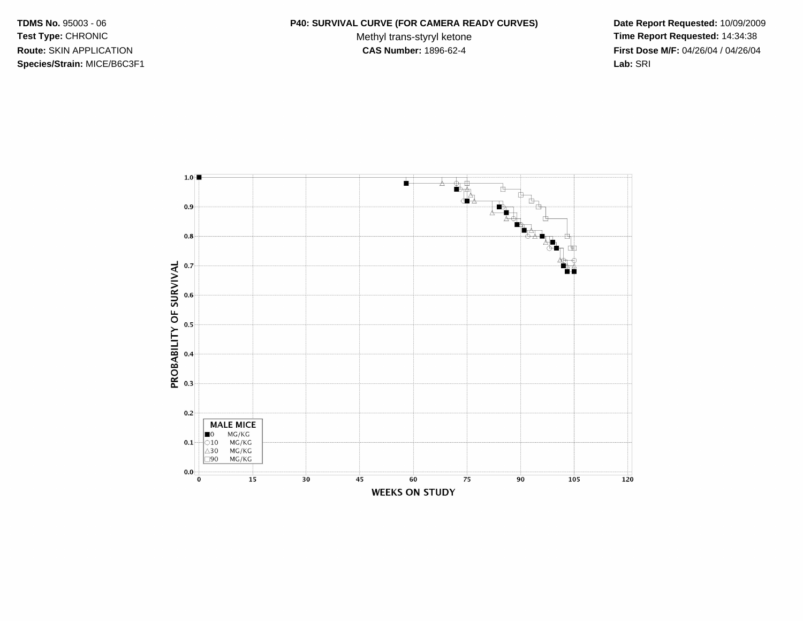**Species/Strain:** MICE/B6C3F1 **Lab:** SRI

## **TDMS No.** 95003 - 06 **P40: SURVIVAL CURVE (FOR CAMERA READY CURVES) Date Report Requested:** 10/09/2009

Test Type: CHRONIC **Test Type: CHRONIC Test Type: CHRONIC Time Report Requested:** 14:34:38 **Route:** SKIN APPLICATION **CAS Number:** 1896-62-4 **First Dose M/F:** 04/26/04 / 04/26/04